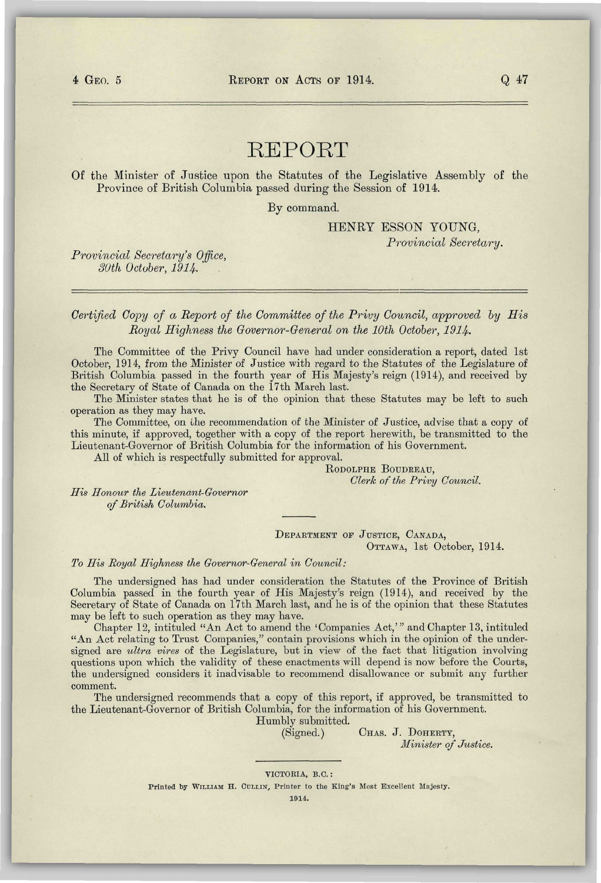## REPORT

**Of** the Minister of Justice upon the Statutes of the Legislative Assembly of the Province of British Columbia passed during the Session of 1914.

By command.

HENRY ESSON YOUNG, *Provincial Secretary.* 

*Provincial Secretary's Office, SOth October, 1914.* 

*Certified Copy of a Report of the Committee of the Privy Council, approved by His Royal Highness the Governor-General on the 10th October, 1914.* 

The Committee of the Privy Council have had under consideration a report, dated 1st October, 1914, from the Minister of Justice with regard to the Statutes of the Legislature of British Columbia passed in the fourth year of His Majesty's reign (1914), and received by the Secretary of State of Canada on the 17th March last.

The Minister states that he is of the opinion that these Statutes may be left to such operation as they may have.

The Committee, on the recommendation of the Minister of Justice, advise that a copy of this minute, if approved, together with a copy of the report herewith, be transmitted to the Lieutenant-Governor of British Columbia for the information of his Government.

All of which is respectfully submitted for approval.

RODOLPHE BOUDREAU, *Clerk of the Privy Council.* 

*His Honour the Lieutenant-Governor of British Columbia.* 

> DEPARTMENT OF JUSTICE, CANADA, OTTAWA, 1st October, 1914.

*To His Royal Highness the Governor-General in Council:* 

The undersigned has had under consideration the Statutes of the Province of British Columbia passed in the fourth year of His Majesty's reign (1914), and received by the Secretary of State of Canada on 17th March last, and he is of the opinion that these Statutes may be left to such operation as they may have.

Chapter 12, intituled "An Act to amend the 'Companies Act,'" and Chapter 13, intituled "An Act relating to Trust Companies," contain provisions which in the opinion of the undersigned are *ultra vires* of the Legislature, but in view of the fact that litigation involving questions upon which the validity of these enactments will depend is now before the Courts, the undersigned considers it inadvisable to recommend disallowance or submit any further comment.

The undersigned recommends that a copy of this report, if approved, be transmitted to the Lieutenant-Governor of British Columbia, for the information of his Government.

Humbly submitted.

(Signed.) CHAS. J. DOHERTY,

*Minister of Justice.* 

VICTORIA, B.C. :

Printed by WILLIAM H. CULLIN, Printer to the King's Most Excellent Majesty.

1914.